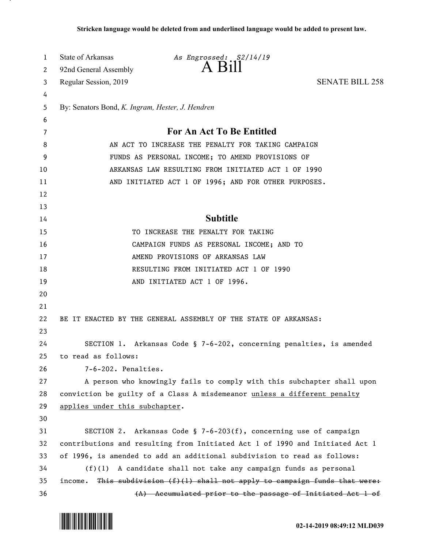| 1  | State of Arkansas                                | As Engrossed: S2/14/19                                                       |                        |
|----|--------------------------------------------------|------------------------------------------------------------------------------|------------------------|
| 2  | 92nd General Assembly                            | A Bill                                                                       |                        |
| 3  | Regular Session, 2019                            |                                                                              | <b>SENATE BILL 258</b> |
| 4  |                                                  |                                                                              |                        |
| 5  | By: Senators Bond, K. Ingram, Hester, J. Hendren |                                                                              |                        |
| 6  |                                                  |                                                                              |                        |
| 7  |                                                  | For An Act To Be Entitled                                                    |                        |
| 8  |                                                  | AN ACT TO INCREASE THE PENALTY FOR TAKING CAMPAIGN                           |                        |
| 9  |                                                  | FUNDS AS PERSONAL INCOME; TO AMEND PROVISIONS OF                             |                        |
| 10 |                                                  | ARKANSAS LAW RESULTING FROM INITIATED ACT 1 OF 1990                          |                        |
| 11 |                                                  | AND INITIATED ACT 1 OF 1996; AND FOR OTHER PURPOSES.                         |                        |
| 12 |                                                  |                                                                              |                        |
| 13 |                                                  |                                                                              |                        |
| 14 |                                                  | <b>Subtitle</b>                                                              |                        |
| 15 |                                                  | TO INCREASE THE PENALTY FOR TAKING                                           |                        |
| 16 |                                                  | CAMPAIGN FUNDS AS PERSONAL INCOME; AND TO                                    |                        |
| 17 |                                                  | AMEND PROVISIONS OF ARKANSAS LAW                                             |                        |
| 18 |                                                  | RESULTING FROM INITIATED ACT 1 OF 1990                                       |                        |
| 19 |                                                  | AND INITIATED ACT 1 OF 1996.                                                 |                        |
| 20 |                                                  |                                                                              |                        |
| 21 |                                                  |                                                                              |                        |
| 22 |                                                  | BE IT ENACTED BY THE GENERAL ASSEMBLY OF THE STATE OF ARKANSAS:              |                        |
| 23 |                                                  |                                                                              |                        |
| 24 |                                                  | SECTION 1. Arkansas Code § 7-6-202, concerning penalties, is amended         |                        |
| 25 | to read as follows:                              |                                                                              |                        |
| 26 | 7-6-202. Penalties.                              |                                                                              |                        |
| 27 |                                                  | A person who knowingly fails to comply with this subchapter shall upon       |                        |
| 28 |                                                  | conviction be guilty of a Class A misdemeanor unless a different penalty     |                        |
| 29 | applies under this subchapter.                   |                                                                              |                        |
| 30 |                                                  |                                                                              |                        |
| 31 |                                                  | SECTION 2. Arkansas Code § 7-6-203(f), concerning use of campaign            |                        |
| 32 |                                                  | contributions and resulting from Initiated Act 1 of 1990 and Initiated Act 1 |                        |
| 33 |                                                  | of 1996, is amended to add an additional subdivision to read as follows:     |                        |
| 34 |                                                  | $(f)(1)$ A candidate shall not take any campaign funds as personal           |                        |
| 35 | income.                                          | This subdivision $(f)(1)$ shall not apply to campaign funds that were:       |                        |
| 36 |                                                  | (A) Accumulated prior to the passage of Initiated Act 1 of                   |                        |

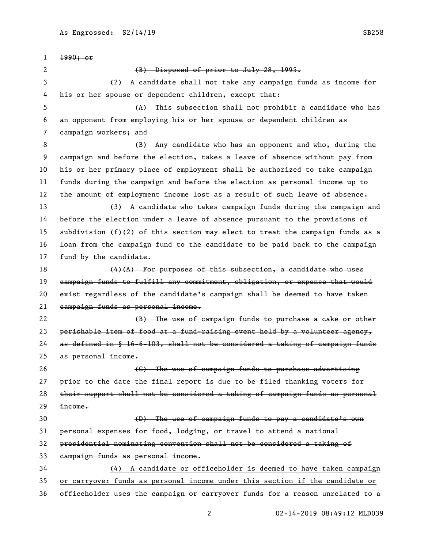1990; or 2 (B) Disposed of prior to July 28, 1995. (2) A candidate shall not take any campaign funds as income for his or her spouse or dependent children, except that: (A) This subsection shall not prohibit a candidate who has an opponent from employing his or her spouse or dependent children as campaign workers; and (B) Any candidate who has an opponent and who, during the campaign and before the election, takes a leave of absence without pay from his or her primary place of employment shall be authorized to take campaign funds during the campaign and before the election as personal income up to the amount of employment income lost as a result of such leave of absence. (3) A candidate who takes campaign funds during the campaign and before the election under a leave of absence pursuant to the provisions of subdivision (f)(2) of this section may elect to treat the campaign funds as a loan from the campaign fund to the candidate to be paid back to the campaign fund by the candidate. (4)(A) For purposes of this subsection, a candidate who uses campaign funds to fulfill any commitment, obligation, or expense that would exist regardless of the candidate's campaign shall be deemed to have taken campaign funds as personal income. **Example 20 (B)** The use of campaign funds to purchase a cake or other 23 perishable item of food at a fund-raising event held by a volunteer agency, as defined in § 16-6-103, shall not be considered a taking of campaign funds as personal income. **Example 26** Constant Construction Construction Construction Construction Constant Construction Construction Constant Construction Constant Construction Construction Construction Constant Construction Construction Const prior to the date the final report is due to be filed thanking voters for their support shall not be considered a taking of campaign funds as personal income. (D) The use of campaign funds to pay a candidate's own personal expenses for food, lodging, or travel to attend a national presidential nominating convention shall not be considered a taking of campaign funds as personal income. (4) A candidate or officeholder is deemed to have taken campaign or carryover funds as personal income under this section if the candidate or officeholder uses the campaign or carryover funds for a reason unrelated to a

02-14-2019 08:49:12 MLD039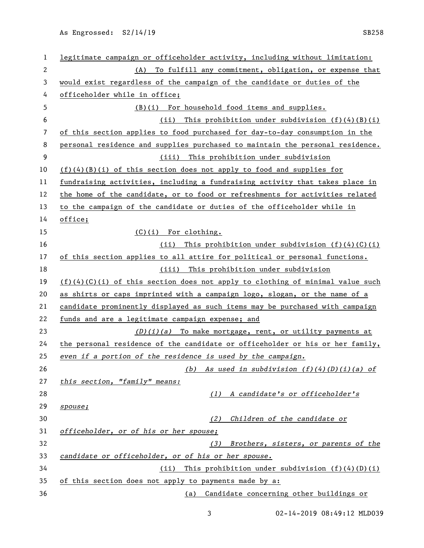As Engrossed: S2/14/19 SB258

| 1            | legitimate campaign or officeholder activity, including without limitation:     |
|--------------|---------------------------------------------------------------------------------|
| $\mathbf{2}$ | To fulfill any commitment, obligation, or expense that<br>(A)                   |
| 3            | would exist regardless of the campaign of the candidate or duties of the        |
| 4            | officeholder while in office;                                                   |
| 5            | (B)(i) For household food items and supplies.                                   |
| 6            | This prohibition under subdivision $(f)(4)(B)(i)$<br>(ii)                       |
| 7            | of this section applies to food purchased for day-to-day consumption in the     |
| 8            | personal residence and supplies purchased to maintain the personal residence.   |
| 9            | (iii) This prohibition under subdivision                                        |
| 10           | $(f)(4)(B)(i)$ of this section does not apply to food and supplies for          |
| 11           | fundraising activities, including a fundraising activity that takes place in    |
| 12           | the home of the candidate, or to food or refreshments for activities related    |
| 13           | to the campaign of the candidate or duties of the officeholder while in         |
| 14           | office;                                                                         |
| 15           | $(C)(i)$ For clothing.                                                          |
| 16           | This prohibition under subdivision $(f)(4)(C)(i)$<br>(ii)                       |
| 17           | of this section applies to all attire for political or personal functions.      |
| 18           | (iii) This prohibition under subdivision                                        |
| 19           | $(f)(4)(C)(i)$ of this section does not apply to clothing of minimal value such |
| 20           | as shirts or caps imprinted with a campaign logo, slogan, or the name of a      |
| 21           | candidate prominently displayed as such items may be purchased with campaign    |
| 22           | funds and are a legitimate campaign expense; and                                |
| 23           | $(D)(i)(a)$ To make mortgage, rent, or utility payments at                      |
| 24           | the personal residence of the candidate or officeholder or his or her family,   |
| 25           | even if a portion of the residence is used by the campaign.                     |
| 26           | As used in subdivision (f)(4)(D)(i)(a) of<br>(b)                                |
| 27           | this section, "family" means:                                                   |
| 28           | (1) A candidate's or officeholder's                                             |
| 29           | spouse;                                                                         |
| 30           | Children of the candidate or<br>(2)                                             |
| 31           | officeholder, or of his or her spouse;                                          |
| 32           | (3)<br>Brothers, sisters, or parents of the                                     |
| 33           | candidate or officeholder, or of his or her spouse.                             |
| 34           | This prohibition under subdivision $(f)(4)(D)(i)$<br>(ii)                       |
| 35           | of this section does not apply to payments made by a:                           |
| 36           | (a) Candidate concerning other buildings or                                     |

3 02-14-2019 08:49:12 MLD039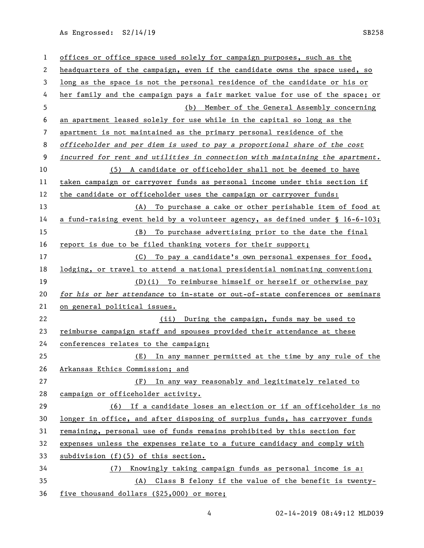As Engrossed: S2/14/19 SB258

| 1  | offices or office space used solely for campaign purposes, such as the        |  |
|----|-------------------------------------------------------------------------------|--|
|    |                                                                               |  |
| 2  | headquarters of the campaign, even if the candidate owns the space used, so   |  |
| 3  | long as the space is not the personal residence of the candidate or his or    |  |
| 4  | her family and the campaign pays a fair market value for use of the space; or |  |
| 5  | (b) Member of the General Assembly concerning                                 |  |
| 6  | an apartment leased solely for use while in the capital so long as the        |  |
| 7  | apartment is not maintained as the primary personal residence of the          |  |
| 8  | officeholder and per diem is used to pay a proportional share of the cost     |  |
| 9  | incurred for rent and utilities in connection with maintaining the apartment. |  |
| 10 | (5) A candidate or officeholder shall not be deemed to have                   |  |
| 11 | taken campaign or carryover funds as personal income under this section if    |  |
| 12 | the candidate or officeholder uses the campaign or carryover funds:           |  |
| 13 | (A) To purchase a cake or other perishable item of food at                    |  |
| 14 | a fund-raising event held by a volunteer agency, as defined under § 16-6-103; |  |
| 15 | To purchase advertising prior to the date the final<br>(B)                    |  |
| 16 | report is due to be filed thanking voters for their support;                  |  |
| 17 | To pay a candidate's own personal expenses for food,<br>(C)                   |  |
| 18 | lodging, or travel to attend a national presidential nominating convention;   |  |
| 19 | (D)(i) To reimburse himself or herself or otherwise pay                       |  |
| 20 | for his or her attendance to in-state or out-of-state conferences or seminars |  |
| 21 | on general political issues.                                                  |  |
| 22 | (ii) During the campaign, funds may be used to                                |  |
| 23 | reimburse campaign staff and spouses provided their attendance at these       |  |
| 24 | conferences relates to the campaign;                                          |  |
| 25 | In any manner permitted at the time by any rule of the<br>(E)                 |  |
| 26 | Arkansas Ethics Commission; and                                               |  |
| 27 | (F) In any way reasonably and legitimately related to                         |  |
| 28 | campaign or officeholder activity.                                            |  |
| 29 | (6) If a candidate loses an election or if an officeholder is no              |  |
| 30 | longer in office, and after disposing of surplus funds, has carryover funds   |  |
| 31 | remaining, personal use of funds remains prohibited by this section for       |  |
| 32 | expenses unless the expenses relate to a future candidacy and comply with     |  |
| 33 | subdivision (f)(5) of this section.                                           |  |
| 34 | Knowingly taking campaign funds as personal income is a:<br>(7)               |  |
| 35 | (A) Class B felony if the value of the benefit is twenty-                     |  |
| 36 | five thousand dollars (\$25,000) or more;                                     |  |

4 02-14-2019 08:49:12 MLD039